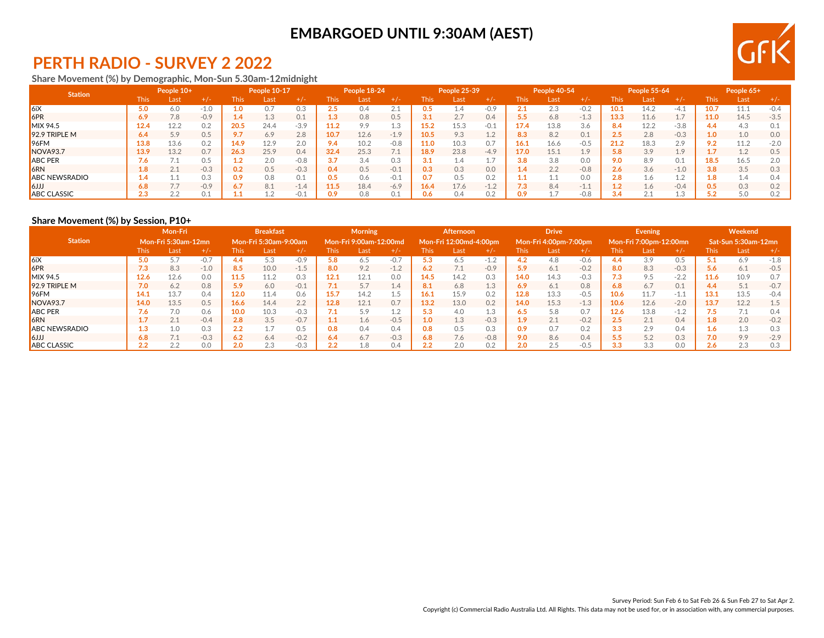

## **PERTH RADIO - SURVEY 2 2022**

### **Share Movement (%) by Demographic, Mon-Sun 5.30am-12midnight**

| <b>Station</b>       |             | People 10+ |        |               | <b>People 10-17</b> |        |      | People 18-24 |        |       | People 25-39 |        |      | People 40-54 |        |      | <b>People 55-64</b> |                 |      | People 65+ |        |
|----------------------|-------------|------------|--------|---------------|---------------------|--------|------|--------------|--------|-------|--------------|--------|------|--------------|--------|------|---------------------|-----------------|------|------------|--------|
|                      | <b>This</b> | Last       |        | <b>This</b>   | Last                |        | This |              | +7-    | l his | Last         | $+/-$  | This | Last         | $+/-$  | This | Last                | $+/-$           | This | Last       |        |
| $\vert 6iX \vert$    | 5.0         | 6.0        | $-1.0$ | 1.0           | 0.7                 | 0.3    |      | ١Δ           | 2.1    |       | 1.4          | $-0.9$ | 2.1  | 2.3          | $-0.2$ | 10.1 | 14.2                | -4.1            | 10.7 | 11.1       | $-0.4$ |
| 6PR                  | 6.9         | 7.8        | $-0.9$ | $1.4^{\circ}$ | 1.3                 | 0.1    |      | 0.8          | 0.5    |       | 2.7          | 0.4    | 5.5  | 6.8          | $-1.3$ | 13.3 | 11.6                | 1.7             |      | 14.5       |        |
| $MIX$ 94.5           | 12.4        | 12.2       | 0.2    | 20.5          | 24.4                | $-3.9$ | 11.2 | 9.9          | 1.3    | 15.2  | 15.3         | $-0.1$ | 17.4 | 13.8         | 3.6    | 8.4  | 12.2                | $-3.8$          | 4.4  | 4.3        |        |
| 92.9 TRIPLE M        | 6.4         | 5.9        | 0.5    | 9.7           | 6.9                 | 2.8    | 10.7 | 12.6         | $-1.9$ | .0.5  | 9.3          | 1.Z    | 8.3  | 8.2          | 0.1    | 2.5  | 2.8                 | $-0.3$          | 1.0  | 1.0        | D.O    |
| $ 96$ FM             | 13.8        | 13.6       | 0.2    | 14.9          | 12.9                | 2.0    | 9.4  | 10.2         | $-0.8$ | l 1.0 | 10.3         | 0.7    | 16.1 | 16.6         | $-0.5$ | 21.2 | 18.3                | 2.9             | 9.2  | 11.2       | $-2.0$ |
| NOVA <sub>93.7</sub> | 13.9        | 13.2       | 0.7    | 26.3          | 25.9                | 0.4    | 32.4 | 25.3         | 7.1    | .8.9  | 23.8         | $-4.9$ | 17.0 | 15.1         | 1.9    | 5.8  | 3.9                 | 1.9             |      | 1.2        |        |
| <b>ABC PER</b>       | 7.6         | 7.1        | 0.5    | 1.2           | 2.0                 | $-0.8$ | 3.7  | 3.4          | 0.3    |       | 1.4          |        | 3.8  | 3.8          | 0.0    | 9.0  | 8.9                 | 0.1             | 18.5 | 16.5       | n n    |
| <b>6RN</b>           | 1.8         | 2.1        | $-0.3$ | 0.2           | 0.5                 | $-0.3$ | 0.4  | 0.5          | $-0.1$ | 0.3   | 0.3          | 0.0    | 1.4  | 2.2          | $-0.8$ | 2.6  | 3.6                 | $-1.0$          | 3.8  | 3.5        |        |
| <b>ABC NEWSRADIO</b> |             |            | 0.3    | 0.9           | 0.8                 | 0.1    |      | 0.6          | $-0.1$ |       | 0.5          | 0.2    |      |              | 0.0    | 2.8  | $\pm .6$            | $\gamma$<br>T.T |      | 1.4        |        |
| l6JJJ                | 6.8         | 7.7        | $-0.9$ | 6.7           | 8.1                 | $-1.4$ | 11.5 | 18.4         | $-6.9$ | .6.4  | 17.6         | $-1.2$ | 7.3  | 8.4          | $-1.1$ |      | 1.6                 | $-0.4$          | 0.5  | 0.3        |        |
| <b>ABC CLASSIC</b>   | ົາ<br>د.∠   | 2.2        |        |               |                     |        | 0.9  | 0.8          |        | 0.6   | 0.4          |        | 0.9  |              | $-0.8$ |      |                     |                 | ר ב  | 5.0        |        |

### **Share Movement (%) by Session, P10+**

|                      |        | Mon-Fri<br><b>Mon-Fri 5:30am-12mn</b> |        |             | <b>Breakfast</b>      |        |             | <b>Morning</b>         |        |       | <b>Afternoon</b>       |        |             | <b>Drive</b>          |        |             | Evening                |        |      | Weekend                    |        |
|----------------------|--------|---------------------------------------|--------|-------------|-----------------------|--------|-------------|------------------------|--------|-------|------------------------|--------|-------------|-----------------------|--------|-------------|------------------------|--------|------|----------------------------|--------|
| <b>Station</b>       |        |                                       |        |             | Mon-Fri 5:30am-9:00am |        |             | Mon-Fri 9:00am-12:00md |        |       | Mon-Fri 12:00md-4:00pm |        |             | Mon-Fri 4:00pm-7:00pm |        |             | Mon-Fri 7:00pm-12:00mn |        |      | <b>Sat-Sun 5:30am-12mn</b> |        |
|                      | This : | Last                                  | $+/-$  | <b>This</b> | Last                  | $+/-$  | <b>This</b> | Last                   | $+/-$  | This  | Last                   | $+/-$  | <b>This</b> | Last                  | $+/-$  | <b>This</b> | Last                   | $+/-$  | This | Last                       | $+/-$  |
| 6iX                  | 5.0    | 5.7                                   | $-0.7$ | 4.4         | 5.3                   | $-0.9$ | 5.8         | 6.5                    | $-0.7$ | 5.3   | 6.5                    | $-1.2$ | 4.2         | 4.8                   | $-0.6$ | 4.4         | 3.9                    | 0.5    |      | 6.9                        | $-1.8$ |
| 6PR                  | 7.3    | 8.3                                   | $-1.0$ | 8.5         | 10.0                  | $-1.5$ | 8.0         | 9.2                    | $-1.2$ | 6.2   | 7.1                    | $-0.9$ | 5.9         | 6.1                   | $-0.2$ | 8.0         | 8.3                    | $-0.3$ | 5.6  | 6.1                        | $-0.5$ |
| $MIX$ 94.5           | 12.6   | 12.6                                  | 0.0    | 11.5        | 11.2                  | 0.3    | 12.1        | 12.1                   | 0.0    | 14.5  | 14.2                   | 0.3    | 14.0        | 14.3                  | $-0.3$ |             | 9.5                    | $-2.2$ | .1.6 | 10.9                       |        |
| 92.9 TRIPLE M        | 7.0    | 6.2                                   | 0.8    | 5.9         | 6.0                   | $-0.1$ | 7.1         |                        | 1.4    |       | 6.8                    | 1.3    | 6.9         | 6.1                   | 0.8    | 6.8         | 6.7                    | 0.1    |      | 5.1                        | $-0.7$ |
| $ 96$ FM             | 14.1   | 13.7                                  | 0.4    | 12.0        | 11.4                  | 0.6    | 15.7        | 14.2                   | 1.5    | l 6.1 | 15.9                   | 0.2    | 12.8        | 13.3                  | $-0.5$ | 10.6        | 117                    | $-1.1$ | 13.1 | 13.5                       | $-0.4$ |
| NOVA <sub>93.7</sub> | 14.0   | 13.5                                  | 0.5    | 16.6        | 14.4                  | 2.2    | 12.8        | 12.1                   | 0.7    | 13.2  | 13.0                   | 0.2    | 14.0        | 15.3                  | $-1.3$ | 10.6        | 12.6                   | $-2.0$ | 13.7 | 12.2                       |        |
| <b>ABC PER</b>       | 7.6    | 7.0                                   | 0.6    | 10.0        | 10.3                  | $-0.3$ |             | 59                     | 1.2    |       | 4.0                    | 1.3    | 6.5         | 5.8                   | 0.7    | 12.6        | 13.8                   | $-1.2$ |      | 7.1                        |        |
| <b>6RN</b>           |        | 2.1                                   | $-0.4$ | 2.8         | 3.5                   | $-0.7$ |             | 1.6                    | $-0.5$ |       | 1.3                    | $-0.3$ | 1.9         | 2.1                   | $-0.2$ | 2.5         | 2.1                    | 0.4    | 1.8  | 2.0                        | $-0.2$ |
| <b>ABC NEWSRADIO</b> | 1.3    | 1.0                                   | 0.3    | 2.2         |                       | 0.5    | 0.8         | 0.4                    | 0.4    | 0.8   | 0.5                    | 0.3    | 0.9         | 0.7                   | 0.2    | 3.3         | 2.9                    | 0.4    |      | 1.3                        |        |
| LLL6                 | 6.8    | 7.1                                   | $-0.3$ | 6.2         | 6.4                   | $-0.2$ | 6.4         | 6.7                    | $-0.3$ | 6.8   | 7.6                    | $-0.8$ | 9.0         | 8.6                   | 0.4    | 5.5         | 5.2                    | 0.3    | 7.0  | 9.9                        | $-2.9$ |
| <b>ABC CLASSIC</b>   | 2.2    | 2.2                                   | 0.0    | 2.0         | 2.3                   | $-0.3$ |             | 1.8                    | 0.4    |       | 2.0                    | 0.2    | 2.0         | 2.5                   | $-0.5$ | 3.3         | 3.3                    | 0.0    |      | 2.3                        |        |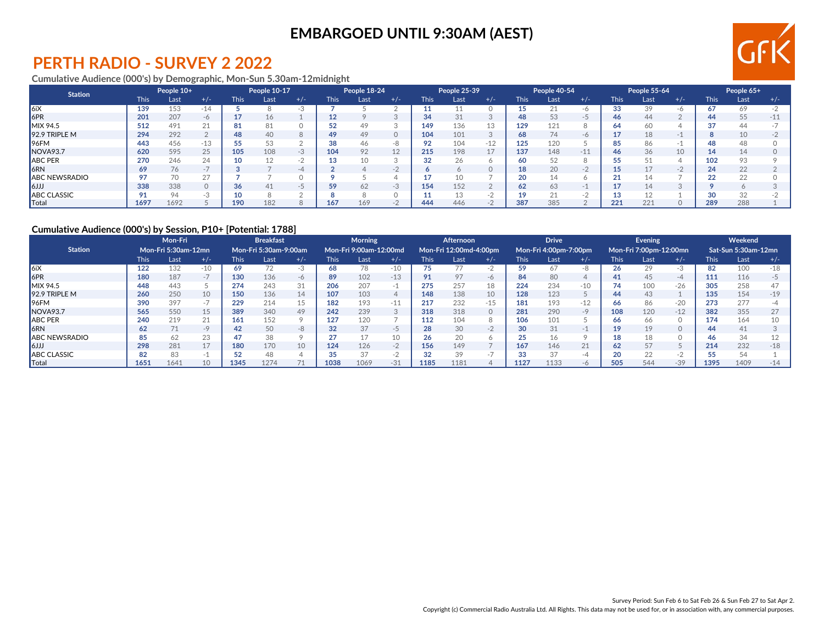

### **PERTH RADIO - SURVEY 2 2022**

### **Cumulative Audience (000's) by Demographic, Mon-Sun 5.30am-12midnight**

| <b>Station</b>       |             | People 10+ |                           |             | People 10-17 |           |      | People 18-24 |          |             | People 25-39 |       |             | People 40-54 |           |             | People 55-64 |       |             | People 65+ |       |
|----------------------|-------------|------------|---------------------------|-------------|--------------|-----------|------|--------------|----------|-------------|--------------|-------|-------------|--------------|-----------|-------------|--------------|-------|-------------|------------|-------|
|                      | <b>This</b> | Last       | $+/-$                     | <b>This</b> | Last         | $+/-$     | This | Last         | $+/-$    | <b>This</b> | Last         | $+/-$ | <b>This</b> | Last         | $+/-$     | <b>This</b> | Last         | $+/-$ | <b>This</b> | Last       | $+/-$ |
| $\vert$ 6iX          | 139         | 153        | $-14$                     |             |              |           |      |              |          |             |              |       | 15          |              |           | 33          | 39           | -6    | 67          | 69         |       |
| 6PR                  | 201         | 207        | $-6$                      |             | 16           |           |      |              |          | 34          | 31           |       | 48          | 53           | $-$       | 46          | 44           |       | 44          | 55         | $-11$ |
| MIX 94.5             | 512         | 491        | $\bigcap$ $\bigcap$<br>∠⊥ | 81          | 81           |           |      |              |          | 149         | 136          | 13    | 129         | 121          |           |             |              |       | 37          | 44         |       |
| 92.9 TRIPLE M        | 294         | 292        |                           | 48          | 40           |           | 49   | 49           | $\Omega$ | 104         | 101          |       | 68          | 74           | $-\theta$ |             | 18           |       |             | 10         |       |
| $ 96$ FM             | 443         | 456        | $-13$                     | 55          | 53           |           | 38   |              | -8       | 92          | 104          | $-12$ | 125         | 120          |           | 85          |              |       |             | 48         |       |
| NOVA93.7             | 620         | 595        | 25                        | 105         | 108          | -3        | 104  | 92           | 12       | 215         | 198          | 17    | 137         | 148          | $-11$     | 46          | 36           | 10    | 14          | 14         |       |
| <b>ABC PER</b>       | 270         | 246        | 24                        | 10          |              | $-1$      |      |              |          | 32          | 26           |       | 60          | 52           |           |             |              |       | 102         | 93         |       |
| 6RN                  | 69          | 76         |                           |             |              | $-\Delta$ |      |              | $-2$     |             |              |       | 18          | 20           |           |             |              | $-2$  | 24          | 22         |       |
| <b>ABC NEWSRADIO</b> |             | 70         | $\sqrt{7}$                |             |              |           |      |              |          |             | 10           |       | 20          |              |           |             |              |       |             | 22         |       |
| $ 6$ الرا            | 338         | 338        |                           | 36          | 41           | $-$       | 59   |              | $-3$     | 154         | 152          |       | 62          | 63           | $-$       |             |              |       |             |            |       |
| <b>ABC CLASSIC</b>   |             | 94         |                           | 10          |              |           |      |              |          |             | 13           |       | 19          | 21           |           |             |              |       | 30          | 32         |       |
| Total                | 1697        | 1692       |                           | 190         | 182          |           | 167  | 169          | $-2$     | 444         | 446          |       | 387         | 385          |           | 221         | 221          |       | 289         | 288        |       |

#### **Cumulative Audience (000's) by Session, P10+ [Potential: 1788]**

|                      |       | Mon-Fri<br><b>Mon-Fri 5:30am-12mn</b> |       |             | <b>Breakfast</b>      |          |      | <b>Morning</b>         |       |        | Afternoon              |          |             | <b>Drive</b>          |                |             | Evening                |          |       | Weekend             |       |
|----------------------|-------|---------------------------------------|-------|-------------|-----------------------|----------|------|------------------------|-------|--------|------------------------|----------|-------------|-----------------------|----------------|-------------|------------------------|----------|-------|---------------------|-------|
| <b>Station</b>       |       |                                       |       |             | Mon-Fri 5:30am-9:00am |          |      | Mon-Fri 9:00am-12:00md |       |        | Mon-Fri 12:00md-4:00pm |          |             | Mon-Fri 4:00pm-7:00pm |                |             | Mon-Fri 7:00pm-12:00mn |          |       | Sat-Sun 5:30am-12mn |       |
|                      | This. | Last                                  | $+/-$ | <b>This</b> | Last                  | $+/-$    | This | Last                   | $+/-$ | This l | Last                   | $+/-$    | <b>This</b> | Last                  | $+/-$          | <b>This</b> | Last                   | $+/-$    | This. | Last                | $+/-$ |
| l6iX                 | 122   | 132                                   | $-10$ | 69          |                       | - 3      | 68   | 78                     | $-10$ |        | 77                     |          | 59          | 67                    | -8             | 26          | 29                     |          | 82    | 100                 | $-18$ |
| 6PR                  | 180   | 187                                   | $-1$  | 130         | 136                   | $-6$     | 89   | 102                    | $-13$ | 91     | 97                     | $-6$     | 84          | 80                    | $\overline{4}$ | 41          | 45                     | $-4$     | 111   | 116                 |       |
| <b>MIX 94.5</b>      | 448   | 443                                   |       | 274         | 243                   | 31       | 206  | 207                    | -1.   | 275    | 257                    | 18       | 224         | 234                   | $-10$          | 74          | 100                    | $-26$    | 305   | 258                 |       |
| 92.9 TRIPLE M        | 260   | 250                                   | 10    | 150         | 136                   | 14       | 107  | 103                    |       | 148    | 138                    | 10       | 128         | 123                   |                | 44          |                        |          | 135   | 154                 | $-19$ |
| 96FM                 | 390   | 397                                   | $-1$  | 229         | 214                   | 15       | 182  | 193                    | $-11$ | 217    | 232                    | $-15$    | 181         | 193                   | $-12$          | 66          | 86                     | $-20$    | 273   | 277                 |       |
| NOVA <sub>93.7</sub> | 565   | 550                                   | 15    | 389         | 340                   | 49       | 242  | 239                    |       | 318    | 318                    | $\circ$  | 281         | 290                   | -9             | 108         | 120                    | $-12$    | 382   | 355                 |       |
| <b>ABC PER</b>       | 240   | 219                                   | 21    | 161         | 152                   |          | 127  | 120                    |       | 112    | 104                    | 8        | 106         | 101                   |                | 66          | 66                     |          | 174   | 164                 |       |
| <b>6RN</b>           | 62    | 71                                    | $-9$  | 42          | 50                    | -8       | 32   | 37                     | -5    | 28     | 30                     | $-2$     | 30          | 31                    | $-1$           | 19          | 19                     | $\Omega$ | 44    | 41                  |       |
| <b>ABC NEWSRADIO</b> |       | 62                                    | 23    | 47          | 38                    | $\Omega$ | דר   |                        | 10    | 26     | 20                     |          | 25          | 16                    |                | 18          | 18                     |          |       | 34                  |       |
| $\mathsf{I}$ 6JJJ    | 298   | 281                                   | 17    | 180         | 170                   | 10       | 124  | 126                    | $-2$  | 156    | 149                    |          | 167         | 146                   | 21             | 62          |                        |          | 214   | 232                 | $-18$ |
| <b>ABC CLASSIC</b>   | 82    | 83                                    | - 1   | 52          | 48                    |          | 35   | 37                     | $-2$  | 32     | 39                     | $\sim$ 1 | 33          | 37                    | -4             | 20          | 22                     |          |       | 54                  |       |
| Total                | 1651  | 1641                                  | 10    | 1345        | 1274                  |          | 1038 | 1069                   | $-31$ | 1185   | 1181                   |          | 1127        | 1133                  | $-6$           | 505         | 544                    | $-39$    | 1395  | 1409                | $-14$ |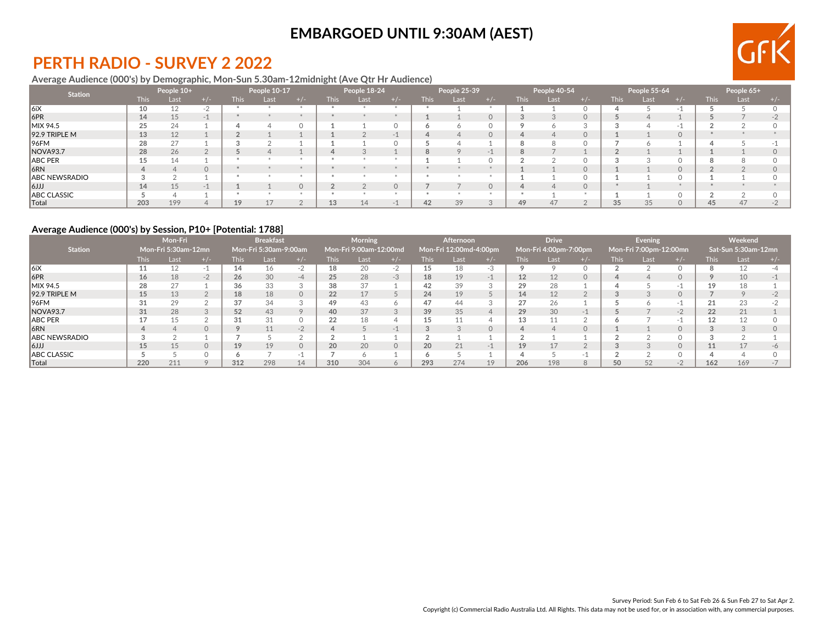

## **PERTH RADIO - SURVEY 2 2022**

### **Average Audience (000's) by Demographic, Mon-Sun 5.30am-12midnight (Ave Qtr Hr Audience)**

| <b>Station</b>  |             | People 10+ |          |             | People 10-17 |             | People 18-24 |       |             | People 25-39 |          |             | People 40-54 |       |             | People 55-64 |          |             | People 65+ |       |
|-----------------|-------------|------------|----------|-------------|--------------|-------------|--------------|-------|-------------|--------------|----------|-------------|--------------|-------|-------------|--------------|----------|-------------|------------|-------|
|                 | <b>This</b> | Last       | $+/-$    | <b>This</b> | Las          | <b>This</b> | Lasi         | + / - | <b>This</b> | Last         | $+/-$    | <b>This</b> | Last         | $+/-$ | <b>This</b> | Last         | $+/-$    | <b>This</b> | Last       | $+/-$ |
| $\vert$ 6iX     | 10          | 12         | н.       |             |              |             |              |       |             |              |          |             |              |       |             |              |          |             |            |       |
| 6PR             | 14          | 15         | $-1$     |             |              |             |              |       |             |              | $\Omega$ |             |              |       |             |              |          |             |            |       |
| MIX 94.5        | 25          | 24         |          |             |              |             |              |       |             |              |          |             |              |       |             |              |          |             |            |       |
| $92.9$ TRIPLE M | 13          | 12         |          |             |              |             |              |       |             |              | $\Omega$ | ▵           |              |       |             |              | $\Omega$ |             |            |       |
| ∥96FM           | 28          | 27         |          |             |              |             |              |       |             |              |          | 8           |              |       |             |              |          |             |            |       |
| NOVA93.7        | 28          | 26         |          |             |              |             |              |       |             |              |          | 8           |              |       |             |              |          |             |            |       |
| ABC PER         |             | 14         |          |             |              |             |              |       |             |              |          |             |              |       |             |              |          |             |            |       |
| 6RN             |             |            | $\Omega$ |             |              |             |              |       |             |              |          |             |              |       |             |              |          |             |            |       |
| ABC NEWSRADIO   |             |            |          |             |              |             |              |       |             |              |          |             |              |       |             |              |          |             |            |       |
| $ 6$ الرا       | 14          | 15         | $\sim$   |             |              |             |              |       |             |              | $\Omega$ |             |              |       |             |              |          |             |            |       |
| ABC CLASSIC     |             |            |          |             |              |             |              |       |             |              |          |             |              |       |             |              |          |             |            |       |
| ∥Total          | 203         | 199        |          | 19          |              | 13          |              |       | 42          | 39           |          | 49          | 47           |       | 35          |              |          |             | 47         |       |

### **Average Audience (000's) by Session, P10+ [Potential: 1788]**

|                        | Mon-Fri<br>Mon-Fri 5:30am-12mn |      |          |             | <b>Breakfast</b>      |         |             | <b>Morning</b>         |         |      | <b>Afternoon</b>       |      |             | <b>Drive</b>          |          |      | Evening                |                  |      | Weekend             |  |
|------------------------|--------------------------------|------|----------|-------------|-----------------------|---------|-------------|------------------------|---------|------|------------------------|------|-------------|-----------------------|----------|------|------------------------|------------------|------|---------------------|--|
| <b>Station</b>         |                                |      |          |             | Mon-Fri 5:30am-9:00am |         |             | Mon-Fri 9:00am-12:00md |         |      | Mon-Fri 12:00md-4:00pm |      |             | Mon-Fri 4:00pm-7:00pm |          |      | Mon-Fri 7:00pm-12:00mn |                  |      | Sat-Sun 5:30am-12mn |  |
|                        | <b>This</b>                    | Last |          | <b>This</b> | Last                  |         | <b>This</b> | Last                   |         | This | Last                   |      | <b>This</b> | Last                  |          | This | Last                   |                  | This | Last                |  |
| $\vert 6iX \vert$      |                                | 12   | - 1      | 14          | 16                    | -2      | 18          | 20                     | $-2$    | 15   | 18                     | $-3$ |             |                       |          |      |                        |                  |      | 12                  |  |
| 6PR                    | 16                             | 18   | $-2$     | 26          | 30                    | $-4$    | 25          | 28                     | $-3$    | 18   | 19                     |      | 12          | 12                    |          |      |                        | <sup>n</sup>     |      | 10                  |  |
| MIX 94.5               | 28                             | 27   |          | 36          | 33                    | 3       | 38          | 37                     |         | 42   | 39                     |      | 29          | 28                    |          |      |                        | $-1$             | 19   | 18                  |  |
| $92.9$ TRIPLE M        | 15                             | 13   |          | 18          | 18                    | $\circ$ | 22          |                        |         | 24   | 19                     |      | 14          | 12                    |          |      |                        | $\Omega$         |      |                     |  |
| 196FM                  |                                | 29   |          | 37          | 34                    |         | 49          | 43                     | O.      | 47   | 44                     |      | 27          | 26                    |          |      |                        | - 11             |      | 23                  |  |
| <b>NOVA93.7</b>        | 31                             | 28   |          | 52          | 43                    | $\circ$ | 40          | 37                     |         | 39   | 35                     |      | 29          | 30                    |          |      |                        | $-2$             | 22   | 21                  |  |
| <b>ABC PER</b>         |                                | 15   |          | 31          | 31                    |         | 22          | 18                     |         |      | 11                     |      | 13          |                       |          |      |                        | $-1$             |      | 12                  |  |
| 16RN                   |                                |      |          |             | 11                    | $-2$    |             |                        | $-1$    |      |                        |      | 4           | ↵                     | $\Omega$ |      |                        | $\Omega$         |      |                     |  |
| <b>ABC NEWSRADIO</b>   |                                |      |          |             |                       |         |             |                        |         |      |                        |      |             |                       |          |      |                        |                  |      |                     |  |
| $ 6$ الرا              | 15                             | 15   | $\Omega$ | 19          | 19                    |         | 20          | 20                     | $\circ$ | 20   | 21                     | $-$  | 19          |                       |          |      |                        | $\Omega$         |      |                     |  |
| <b>ABC CLASSIC</b>     |                                |      |          | o           |                       | ÷       |             |                        |         |      |                        |      |             |                       |          |      |                        | $\left( \right)$ |      |                     |  |
| $\  \mathsf{Total} \ $ | 220                            | 211  |          | 312         | 298                   | 14      | 310         | 304                    | O.      | 293  | 274                    | 19   | 206         | 198                   |          | 50   | 52                     | $-2$             | 162  | 169                 |  |